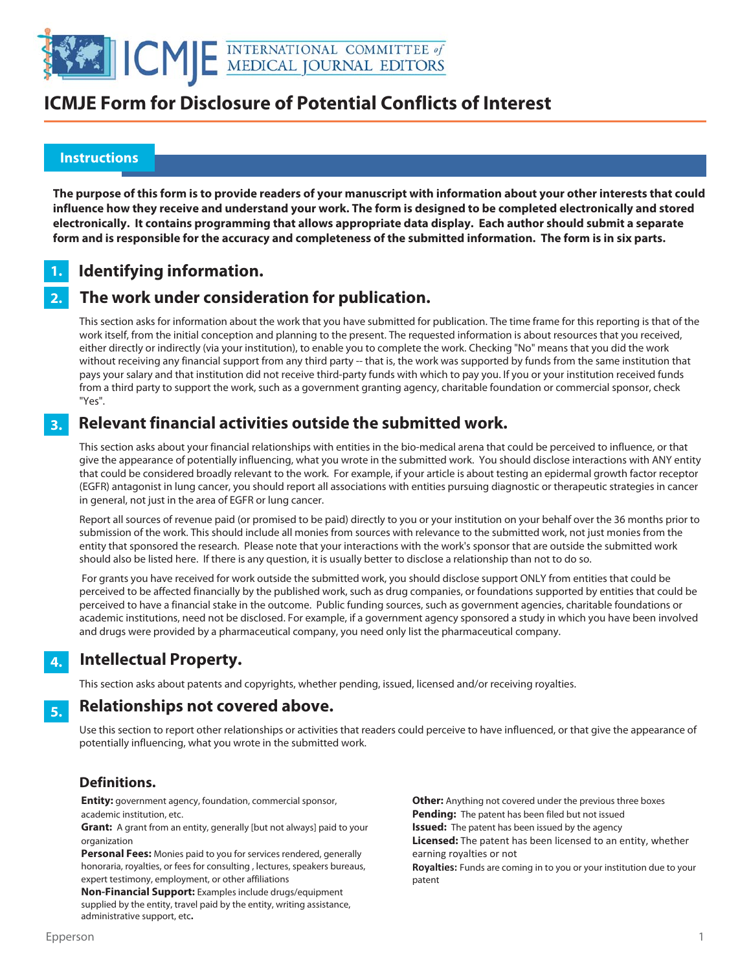

## **ICMJE Form for Disclosure of Potential Conflicts of Interest**

### **Instructions**

 

> **The purpose of this form is to provide readers of your manuscript with information about your other interests that could influence how they receive and understand your work. The form is designed to be completed electronically and stored electronically. It contains programming that allows appropriate data display. Each author should submit a separate form and is responsible for the accuracy and completeness of the submitted information. The form is in six parts.**

### **Identifying information. 1.**

### **The work under consideration for publication. 2.**

This section asks for information about the work that you have submitted for publication. The time frame for this reporting is that of the work itself, from the initial conception and planning to the present. The requested information is about resources that you received, either directly or indirectly (via your institution), to enable you to complete the work. Checking "No" means that you did the work without receiving any financial support from any third party -- that is, the work was supported by funds from the same institution that pays your salary and that institution did not receive third-party funds with which to pay you. If you or your institution received funds from a third party to support the work, such as a government granting agency, charitable foundation or commercial sponsor, check "Yes".

#### **Relevant financial activities outside the submitted work. 3.**

This section asks about your financial relationships with entities in the bio-medical arena that could be perceived to influence, or that give the appearance of potentially influencing, what you wrote in the submitted work. You should disclose interactions with ANY entity that could be considered broadly relevant to the work. For example, if your article is about testing an epidermal growth factor receptor (EGFR) antagonist in lung cancer, you should report all associations with entities pursuing diagnostic or therapeutic strategies in cancer in general, not just in the area of EGFR or lung cancer.

Report all sources of revenue paid (or promised to be paid) directly to you or your institution on your behalf over the 36 months prior to submission of the work. This should include all monies from sources with relevance to the submitted work, not just monies from the entity that sponsored the research. Please note that your interactions with the work's sponsor that are outside the submitted work should also be listed here. If there is any question, it is usually better to disclose a relationship than not to do so.

 For grants you have received for work outside the submitted work, you should disclose support ONLY from entities that could be perceived to be affected financially by the published work, such as drug companies, or foundations supported by entities that could be perceived to have a financial stake in the outcome. Public funding sources, such as government agencies, charitable foundations or academic institutions, need not be disclosed. For example, if a government agency sponsored a study in which you have been involved and drugs were provided by a pharmaceutical company, you need only list the pharmaceutical company.

### **Intellectual Property. 4.**

This section asks about patents and copyrights, whether pending, issued, licensed and/or receiving royalties.

#### **Relationships not covered above. 5.**

Use this section to report other relationships or activities that readers could perceive to have influenced, or that give the appearance of potentially influencing, what you wrote in the submitted work.

### **Definitions.**

**Entity:** government agency, foundation, commercial sponsor, academic institution, etc.

**Grant:** A grant from an entity, generally [but not always] paid to your organization

**Personal Fees:** Monies paid to you for services rendered, generally honoraria, royalties, or fees for consulting , lectures, speakers bureaus, expert testimony, employment, or other affiliations

**Non-Financial Support:** Examples include drugs/equipment supplied by the entity, travel paid by the entity, writing assistance, administrative support, etc**.**

**Other:** Anything not covered under the previous three boxes **Pending:** The patent has been filed but not issued **Issued:** The patent has been issued by the agency **Licensed:** The patent has been licensed to an entity, whether earning royalties or not

**Royalties:** Funds are coming in to you or your institution due to your patent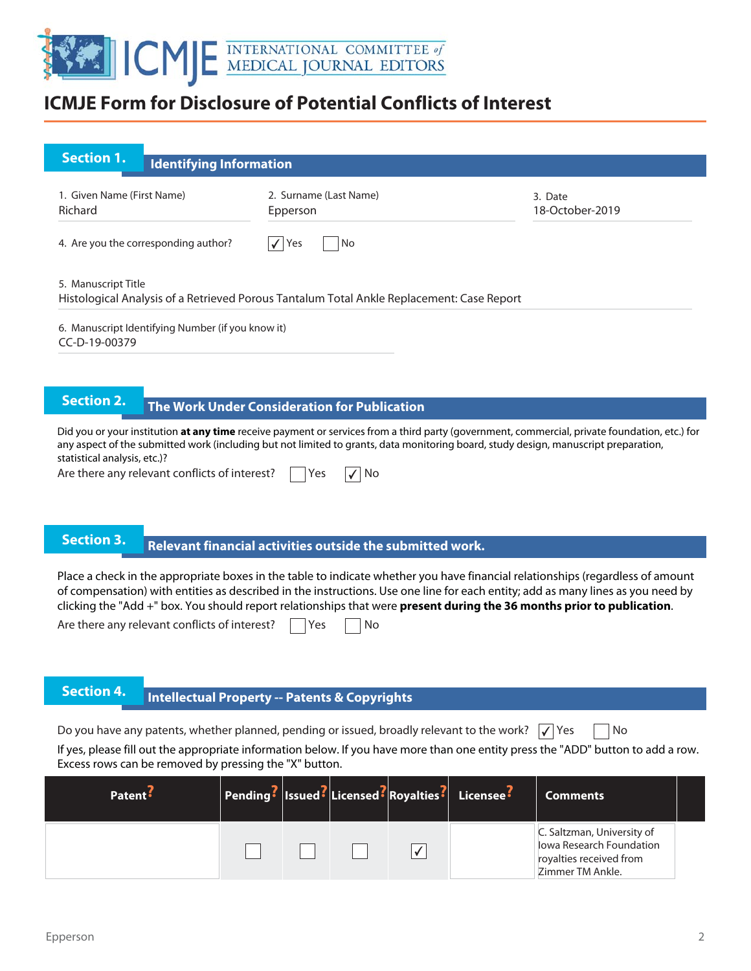

# **ICMJE Form for Disclosure of Potential Conflicts of Interest**

| <b>Section 1.</b>                                                                                                                                                                                                                                                                                                                                                                  | <b>Identifying Information</b>                                                                                                                                                                                                                                                                                                                                                                                                                                        |                            |  |  |  |  |  |  |  |
|------------------------------------------------------------------------------------------------------------------------------------------------------------------------------------------------------------------------------------------------------------------------------------------------------------------------------------------------------------------------------------|-----------------------------------------------------------------------------------------------------------------------------------------------------------------------------------------------------------------------------------------------------------------------------------------------------------------------------------------------------------------------------------------------------------------------------------------------------------------------|----------------------------|--|--|--|--|--|--|--|
| 1. Given Name (First Name)<br>Richard                                                                                                                                                                                                                                                                                                                                              | 2. Surname (Last Name)<br>Epperson                                                                                                                                                                                                                                                                                                                                                                                                                                    | 3. Date<br>18-October-2019 |  |  |  |  |  |  |  |
| 4. Are you the corresponding author?                                                                                                                                                                                                                                                                                                                                               | $\sqrt{}$ Yes<br>No                                                                                                                                                                                                                                                                                                                                                                                                                                                   |                            |  |  |  |  |  |  |  |
| 5. Manuscript Title<br>Histological Analysis of a Retrieved Porous Tantalum Total Ankle Replacement: Case Report                                                                                                                                                                                                                                                                   |                                                                                                                                                                                                                                                                                                                                                                                                                                                                       |                            |  |  |  |  |  |  |  |
| 6. Manuscript Identifying Number (if you know it)<br>CC-D-19-00379                                                                                                                                                                                                                                                                                                                 |                                                                                                                                                                                                                                                                                                                                                                                                                                                                       |                            |  |  |  |  |  |  |  |
|                                                                                                                                                                                                                                                                                                                                                                                    |                                                                                                                                                                                                                                                                                                                                                                                                                                                                       |                            |  |  |  |  |  |  |  |
| <b>Section 2.</b>                                                                                                                                                                                                                                                                                                                                                                  | The Work Under Consideration for Publication                                                                                                                                                                                                                                                                                                                                                                                                                          |                            |  |  |  |  |  |  |  |
| Did you or your institution at any time receive payment or services from a third party (government, commercial, private foundation, etc.) for<br>any aspect of the submitted work (including but not limited to grants, data monitoring board, study design, manuscript preparation,<br>statistical analysis, etc.)?<br>Are there any relevant conflicts of interest?<br>No<br>Yes |                                                                                                                                                                                                                                                                                                                                                                                                                                                                       |                            |  |  |  |  |  |  |  |
| <b>Section 3.</b>                                                                                                                                                                                                                                                                                                                                                                  |                                                                                                                                                                                                                                                                                                                                                                                                                                                                       |                            |  |  |  |  |  |  |  |
| Are there any relevant conflicts of interest?                                                                                                                                                                                                                                                                                                                                      | Relevant financial activities outside the submitted work.<br>Place a check in the appropriate boxes in the table to indicate whether you have financial relationships (regardless of amount<br>of compensation) with entities as described in the instructions. Use one line for each entity; add as many lines as you need by<br>clicking the "Add +" box. You should report relationships that were present during the 36 months prior to publication.<br>Yes<br>No |                            |  |  |  |  |  |  |  |
| <b>Section 4.</b>                                                                                                                                                                                                                                                                                                                                                                  | <b>Intellectual Property -- Patents &amp; Copyrights</b>                                                                                                                                                                                                                                                                                                                                                                                                              |                            |  |  |  |  |  |  |  |
| Do you have any patents, whether planned, pending or issued, broadly relevant to the work?<br>Yes<br>No.<br>✓                                                                                                                                                                                                                                                                      |                                                                                                                                                                                                                                                                                                                                                                                                                                                                       |                            |  |  |  |  |  |  |  |

If yes, please fill out the appropriate information below. If you have more than one entity press the "ADD" button to add a row. Excess rows can be removed by pressing the "X" button.

| Patent: |  |  | Pending   Issued   Licensed   Royalties   Licensee | <b>Comments</b>                                                                                       |  |
|---------|--|--|----------------------------------------------------|-------------------------------------------------------------------------------------------------------|--|
|         |  |  |                                                    | C. Saltzman, University of<br>lowa Research Foundation<br>royalties received from<br>Zimmer TM Ankle. |  |